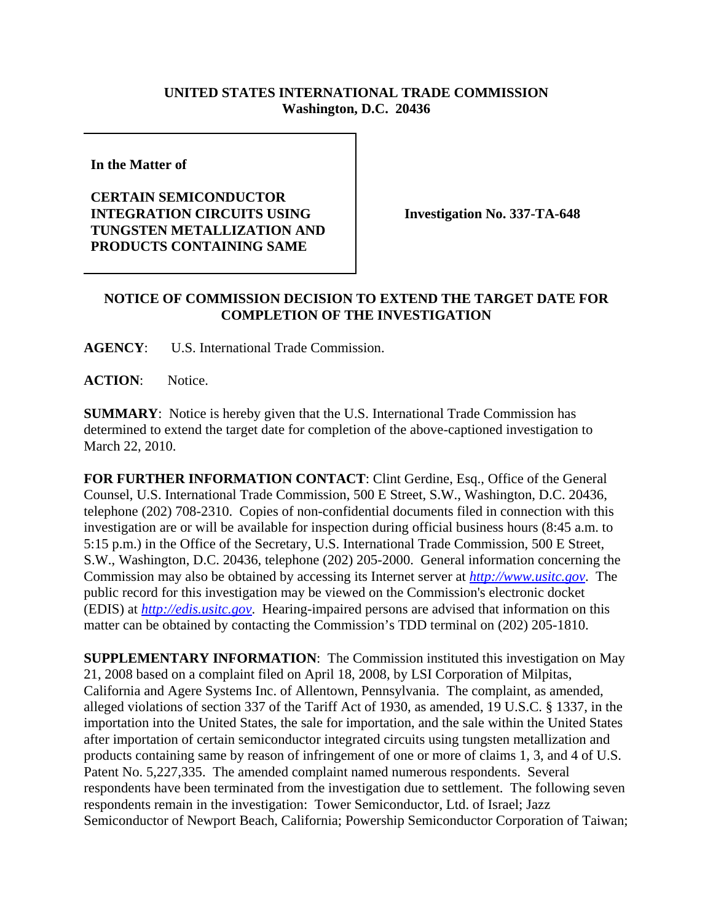## **UNITED STATES INTERNATIONAL TRADE COMMISSION Washington, D.C. 20436**

**In the Matter of** 

## **CERTAIN SEMICONDUCTOR INTEGRATION CIRCUITS USING TUNGSTEN METALLIZATION AND PRODUCTS CONTAINING SAME**

**Investigation No. 337-TA-648**

## **NOTICE OF COMMISSION DECISION TO EXTEND THE TARGET DATE FOR COMPLETION OF THE INVESTIGATION**

**AGENCY**: U.S. International Trade Commission.

**ACTION**: Notice.

**SUMMARY**: Notice is hereby given that the U.S. International Trade Commission has determined to extend the target date for completion of the above-captioned investigation to March 22, 2010.

**FOR FURTHER INFORMATION CONTACT**: Clint Gerdine, Esq., Office of the General Counsel, U.S. International Trade Commission, 500 E Street, S.W., Washington, D.C. 20436, telephone (202) 708-2310. Copies of non-confidential documents filed in connection with this investigation are or will be available for inspection during official business hours (8:45 a.m. to 5:15 p.m.) in the Office of the Secretary, U.S. International Trade Commission, 500 E Street, S.W., Washington, D.C. 20436, telephone (202) 205-2000. General information concerning the Commission may also be obtained by accessing its Internet server at *http://www.usitc.gov*. The public record for this investigation may be viewed on the Commission's electronic docket (EDIS) at *http://edis.usitc.gov*. Hearing-impaired persons are advised that information on this matter can be obtained by contacting the Commission's TDD terminal on (202) 205-1810.

**SUPPLEMENTARY INFORMATION**: The Commission instituted this investigation on May 21, 2008 based on a complaint filed on April 18, 2008, by LSI Corporation of Milpitas, California and Agere Systems Inc. of Allentown, Pennsylvania. The complaint, as amended, alleged violations of section 337 of the Tariff Act of 1930, as amended, 19 U.S.C. § 1337, in the importation into the United States, the sale for importation, and the sale within the United States after importation of certain semiconductor integrated circuits using tungsten metallization and products containing same by reason of infringement of one or more of claims 1, 3, and 4 of U.S. Patent No. 5,227,335. The amended complaint named numerous respondents. Several respondents have been terminated from the investigation due to settlement. The following seven respondents remain in the investigation: Tower Semiconductor, Ltd. of Israel; Jazz Semiconductor of Newport Beach, California; Powership Semiconductor Corporation of Taiwan;